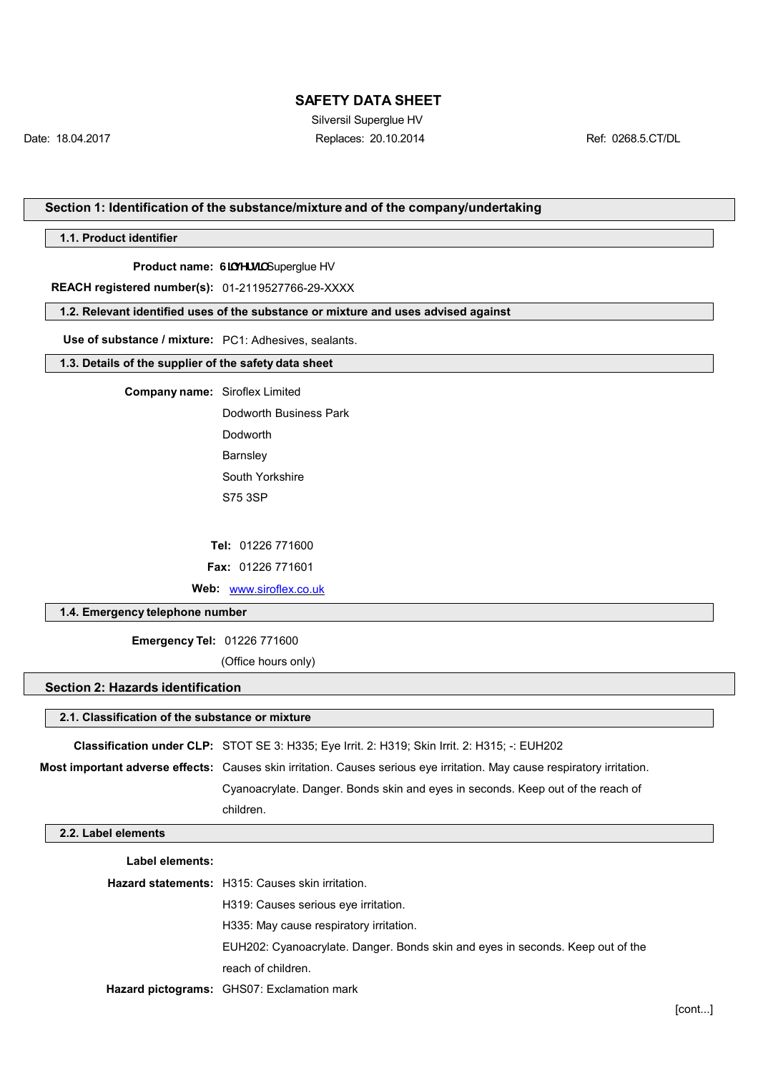Silversil Superglue HV Date: 18.04.2017 Replaces: 20.10.2014 Ref: 0268.5.CT/DL

## **Section 1: Identification of the substance/mixture and of the company/undertaking**

**1.1. Product identifier**

**Product name: G] Yfg] Superglue HV** 

**REACH registered number(s):** 01-2119527766-29-XXXX

#### **1.2. Relevant identified uses of the substance or mixture and uses advised against**

**Use of substance / mixture:** PC1: Adhesives, sealants.

#### **1.3. Details of the supplier of the safety data sheet**

**Company name:** Siroflex Limited

Dodworth Business Park Dodworth Barnsley South Yorkshire S75 3SP

**Tel:** 01226 771600

**Fax:** 01226 771601

**Web:** [www.siroflex.co.uk](http://www.siroflex.co.uk/)

## **1.4. Emergency telephone number**

**Emergency Tel:** 01226 771600

(Office hours only)

#### **Section 2: Hazards identification**

### **2.1. Classification of the substance or mixture**

**Classification under CLP:** STOT SE 3: H335; Eye Irrit. 2: H319; Skin Irrit. 2: H315; -: EUH202

**Most important adverse effects:** Causes skin irritation. Causes serious eye irritation. May cause respiratory irritation.

Cyanoacrylate. Danger. Bonds skin and eyes in seconds. Keep out of the reach of children.

#### **2.2. Label elements**

| Label elements: |                                                                                |
|-----------------|--------------------------------------------------------------------------------|
|                 | <b>Hazard statements:</b> H315: Causes skin irritation.                        |
|                 | H319: Causes serious eve irritation.                                           |
|                 | H335: May cause respiratory irritation.                                        |
|                 | EUH202: Cyanoacrylate. Danger. Bonds skin and eyes in seconds. Keep out of the |
|                 | reach of children.                                                             |
|                 | Hazard pictograms: GHS07: Exclamation mark                                     |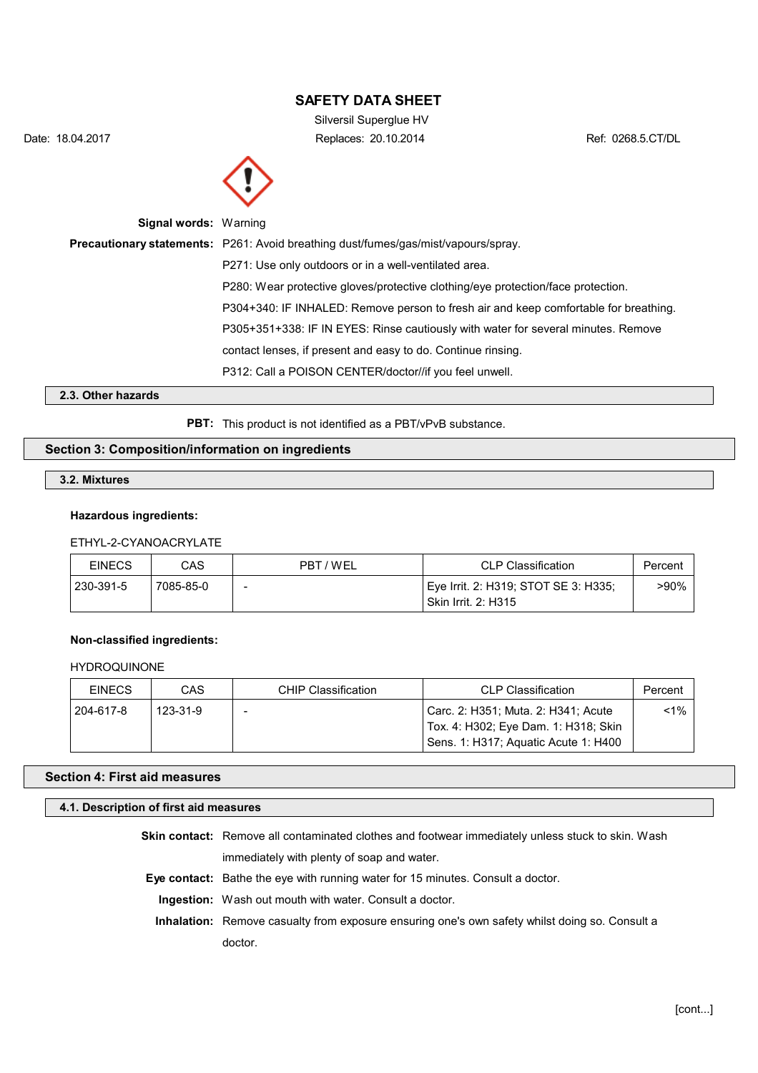Silversil Superglue HV Date: 18.04.2017 Replaces: 20.10.2014 Ref: 0268.5.CT/DL



| <b>Signal words: Warning</b> |                                                                                           |
|------------------------------|-------------------------------------------------------------------------------------------|
|                              | <b>Precautionary statements:</b> P261: Avoid breathing dust/fumes/gas/mist/vapours/spray. |
|                              | P271: Use only outdoors or in a well-ventilated area.                                     |
|                              | P280: Wear protective gloves/protective clothing/eye protection/face protection.          |
|                              | P304+340: IF INHALED: Remove person to fresh air and keep comfortable for breathing.      |
|                              | P305+351+338: IF IN EYES: Rinse cautiously with water for several minutes. Remove         |
|                              | contact lenses, if present and easy to do. Continue rinsing.                              |
|                              | P312: Call a POISON CENTER/doctor//if you feel unwell.                                    |
| .                            |                                                                                           |

**2.3. Other hazards**

PBT: This product is not identified as a PBT/vPvB substance.

# **Section 3: Composition/information on ingredients**

### **3.2. Mixtures**

## **Hazardous ingredients:**

# ETHYL-2-CYANOACRYLATE

| <b>EINECS</b> | CAS       | PBT/WEL                  | <b>CLP Classification</b>                                            | Percent |
|---------------|-----------|--------------------------|----------------------------------------------------------------------|---------|
| 230-391-5     | 7085-85-0 | $\overline{\phantom{0}}$ | ' Eye Irrit. 2: H319; STOT SE 3: H335;<br><b>Skin Irrit. 2: H315</b> | >90%    |

## **Non-classified ingredients:**

## HYDROQUINONE

| <b>EINECS</b> | CAS      | CHIP Classification | <b>CLP Classification</b>                                                   | Percent |
|---------------|----------|---------------------|-----------------------------------------------------------------------------|---------|
| 204-617-8     | 123-31-9 |                     | Carc. 2: H351; Muta. 2: H341; Acute<br>Tox. 4: H302; Eye Dam. 1: H318; Skin | $< 1\%$ |
|               |          |                     | Sens. 1: H317; Aguatic Acute 1: H400                                        |         |

### **Section 4: First aid measures**

#### **4.1. Description of first aid measures**

**Skin contact:** Remove all contaminated clothes and footwear immediately unless stuck to skin. Wash immediately with plenty of soap and water.

**Eye contact:** Bathe the eye with running water for 15 minutes. Consult a doctor.

**Ingestion:** Wash out mouth with water. Consult a doctor.

**Inhalation:** Remove casualty from exposure ensuring one's own safety whilst doing so. Consult a doctor.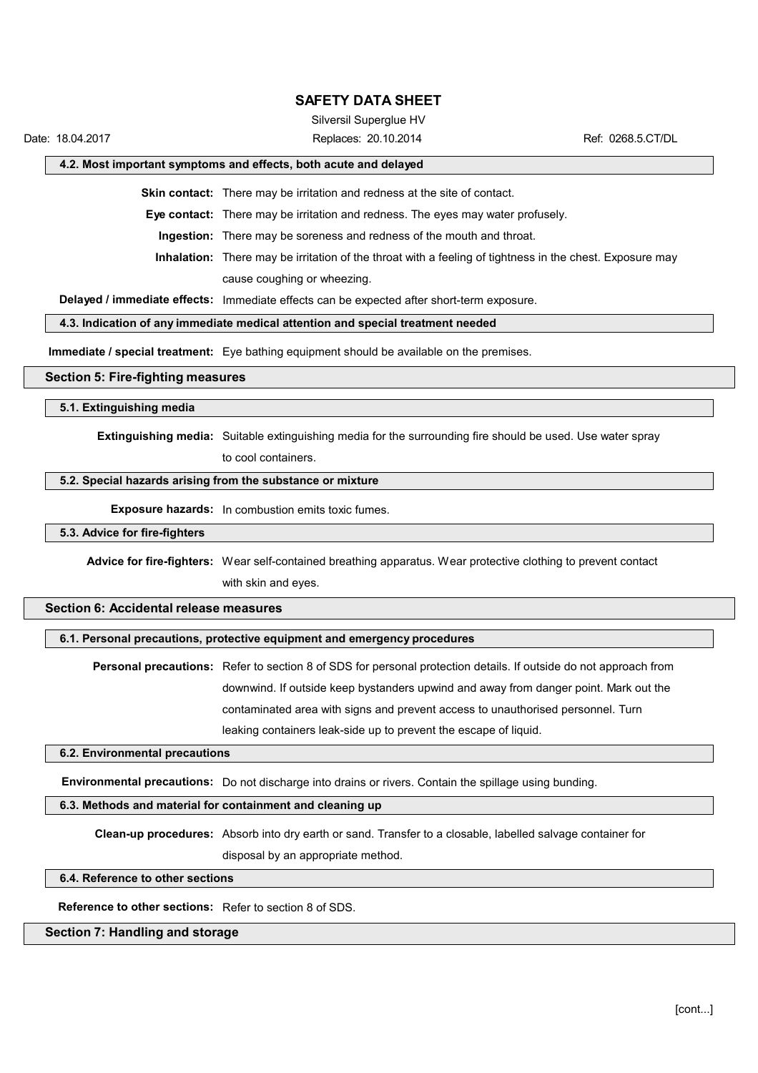Silversil Superglue HV

Date: 18.04.2017 Replaces: 20.10.2014 Ref: 0268.5.CT/DL

#### **4.2. Most important symptoms and effects, both acute and delayed**

**Skin contact:** There may be irritation and redness at the site of contact.

**Eye contact:** There may be irritation and redness. The eyes may water profusely.

**Ingestion:** There may be soreness and redness of the mouth and throat.

**Inhalation:** There may be irritation of the throat with a feeling of tightness in the chest. Exposure may cause coughing or wheezing.

**Delayed / immediate effects:** Immediate effects can be expected after short-term exposure.

## **4.3. Indication of any immediate medical attention and special treatment needed**

**Immediate / special treatment:** Eye bathing equipment should be available on the premises.

### **Section 5: Fire-fighting measures**

**5.1. Extinguishing media**

**Extinguishing media:** Suitable extinguishing media for the surrounding fire should be used. Use water spray

to cool containers.

# **5.2. Special hazards arising from the substance or mixture**

**Exposure hazards:** In combustion emits toxic fumes.

#### **5.3. Advice for fire-fighters**

**Advice for fire-fighters:** Wear self-contained breathing apparatus. Wear protective clothing to prevent contact with skin and eyes.

# **Section 6: Accidental release measures**

# **6.1. Personal precautions, protective equipment and emergency procedures**

**Personal precautions:** Refer to section 8 of SDS for personal protection details. If outside do not approach from downwind. If outside keep bystanders upwind and away from danger point. Mark out the contaminated area with signs and prevent access to unauthorised personnel. Turn leaking containers leak-side up to prevent the escape of liquid.

#### **6.2. Environmental precautions**

**Environmental precautions:** Do not discharge into drains or rivers. Contain the spillage using bunding.

# **6.3. Methods and material for containment and cleaning up**

**Clean-up procedures:** Absorb into dry earth or sand. Transfer to a closable, labelled salvage container for disposal by an appropriate method.

### **6.4. Reference to other sections**

**Reference to other sections:** Refer to section 8 of SDS.

## **Section 7: Handling and storage**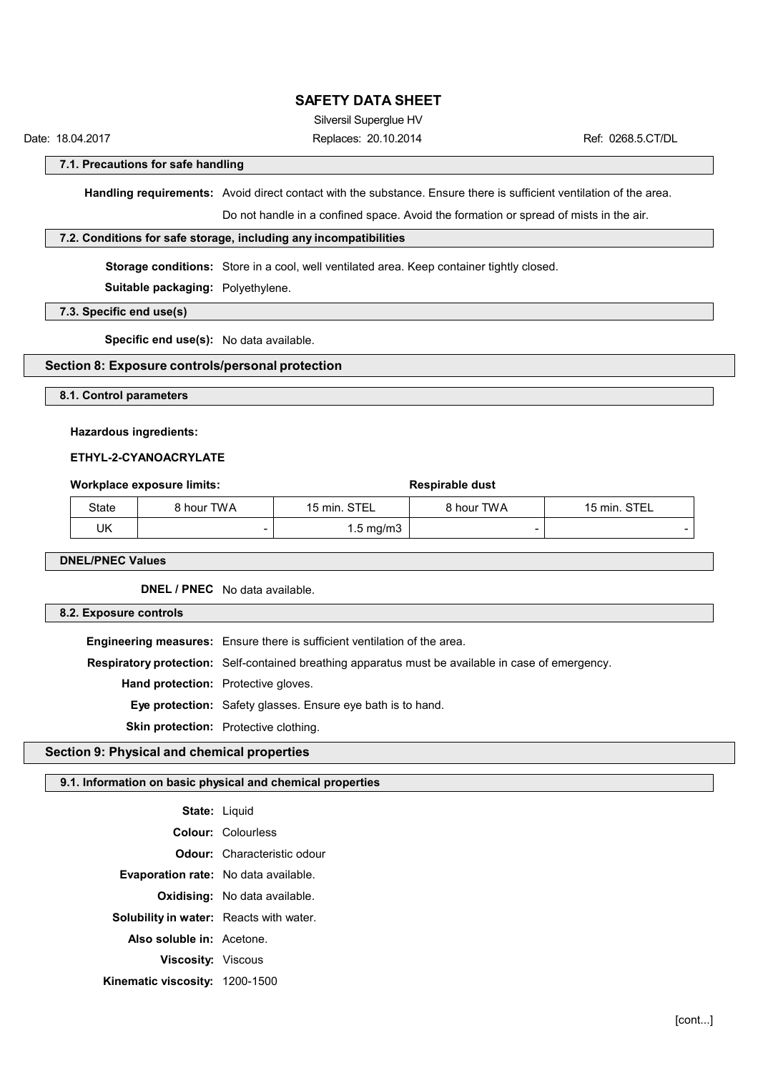Silversil Superglue HV

Date: 18.04.2017 Replaces: 20.10.2014 Ref: 0268.5.CT/DL

**7.1. Precautions for safe handling**

**Handling requirements:** Avoid direct contact with the substance. Ensure there is sufficient ventilation of the area.

Do not handle in a confined space. Avoid the formation or spread of mists in the air.

# **7.2. Conditions for safe storage, including any incompatibilities**

**Storage conditions:** Store in a cool, well ventilated area. Keep container tightly closed.

**Suitable packaging:** Polyethylene.

**7.3. Specific end use(s)**

**Specific end use(s):** No data available.

# **Section 8: Exposure controls/personal protection**

**8.1. Control parameters**

#### **Hazardous ingredients:**

## **ETHYL-2-CYANOACRYLATE**

| Workplace exposure limits: |            |                    | <b>Respirable dust</b> |              |
|----------------------------|------------|--------------------|------------------------|--------------|
| State                      | 8 hour TWA | 15 min. STEL       | 8 hour TWA             | 15 min. STEL |
| UK                         |            | $1.5 \text{ mg/m}$ | -                      |              |

**DNEL/PNEC Values**

**DNEL / PNEC** No data available.

#### **8.2. Exposure controls**

**Engineering measures:** Ensure there is sufficient ventilation of the area. **Respiratory protection:** Self-contained breathing apparatus must be available in case of emergency. **Hand protection:** Protective gloves. **Eye protection:** Safety glasses. Ensure eye bath is to hand. **Skin protection:** Protective clothing.

# **Section 9: Physical and chemical properties**

#### **9.1. Information on basic physical and chemical properties**

| State: Liquid                                  |                                      |
|------------------------------------------------|--------------------------------------|
|                                                | <b>Colour: Colourless</b>            |
|                                                | <b>Odour:</b> Characteristic odour   |
| <b>Evaporation rate:</b> No data available.    |                                      |
|                                                | <b>Oxidising:</b> No data available. |
| <b>Solubility in water:</b> Reacts with water. |                                      |
| Also soluble in: Acetone.                      |                                      |
| Viscosity: Viscous                             |                                      |
| Kinematic viscosity: 1200-1500                 |                                      |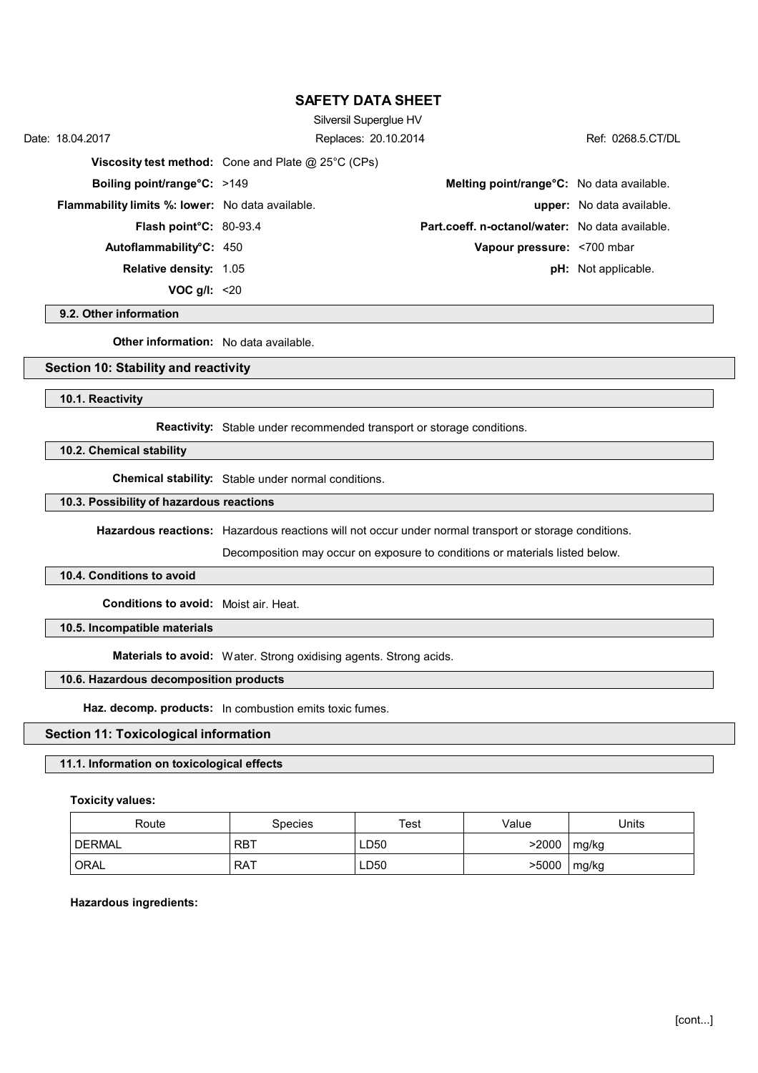| Date: 18.04.2017                                        | Silversil Superglue HV<br>Replaces: 20.10.2014              |                                                 | Ref: 0268.5.CT/DL                |
|---------------------------------------------------------|-------------------------------------------------------------|-------------------------------------------------|----------------------------------|
|                                                         | <b>Viscosity test method:</b> Cone and Plate $@$ 25°C (CPs) |                                                 |                                  |
| <b>Boiling point/range°C: &gt;149</b>                   |                                                             | Melting point/range°C: No data available.       |                                  |
| <b>Flammability limits %: lower:</b> No data available. |                                                             |                                                 | <b>upper:</b> No data available. |
| Flash point°C: 80-93.4                                  |                                                             | Part.coeff. n-octanol/water: No data available. |                                  |
| Autoflammability <sup>o</sup> C: 450                    |                                                             | Vapour pressure: <700 mbar                      |                                  |
| <b>Relative density: 1.05</b>                           |                                                             |                                                 | <b>pH:</b> Not applicable.       |
| VOC $g/l$ : <20                                         |                                                             |                                                 |                                  |

#### **9.2. Other information**

**Other information:** No data available.

## **Section 10: Stability and reactivity**

#### **10.1. Reactivity**

**Reactivity:** Stable under recommended transport or storage conditions.

# **10.2. Chemical stability**

**Chemical stability:** Stable under normal conditions.

### **10.3. Possibility of hazardous reactions**

**Hazardous reactions:** Hazardous reactions will not occur under normal transport or storage conditions.

Decomposition may occur on exposure to conditions or materials listed below.

#### **10.4. Conditions to avoid**

**Conditions to avoid:** Moist air. Heat.

# **10.5. Incompatible materials**

**Materials to avoid:** Water. Strong oxidising agents. Strong acids.

# **10.6. Hazardous decomposition products**

**Haz. decomp. products:** In combustion emits toxic fumes.

### **Section 11: Toxicological information**

## **11.1. Information on toxicological effects**

#### **Toxicity values:**

| Route         | <b>Species</b> | Test | Value | Jnits |
|---------------|----------------|------|-------|-------|
| <b>DERMAL</b> | <b>RBT</b>     | ∟D50 | >2000 | mg/kg |
| <b>ORAL</b>   | RAT            | ∟D50 | >5000 | mg/kg |

#### **Hazardous ingredients:**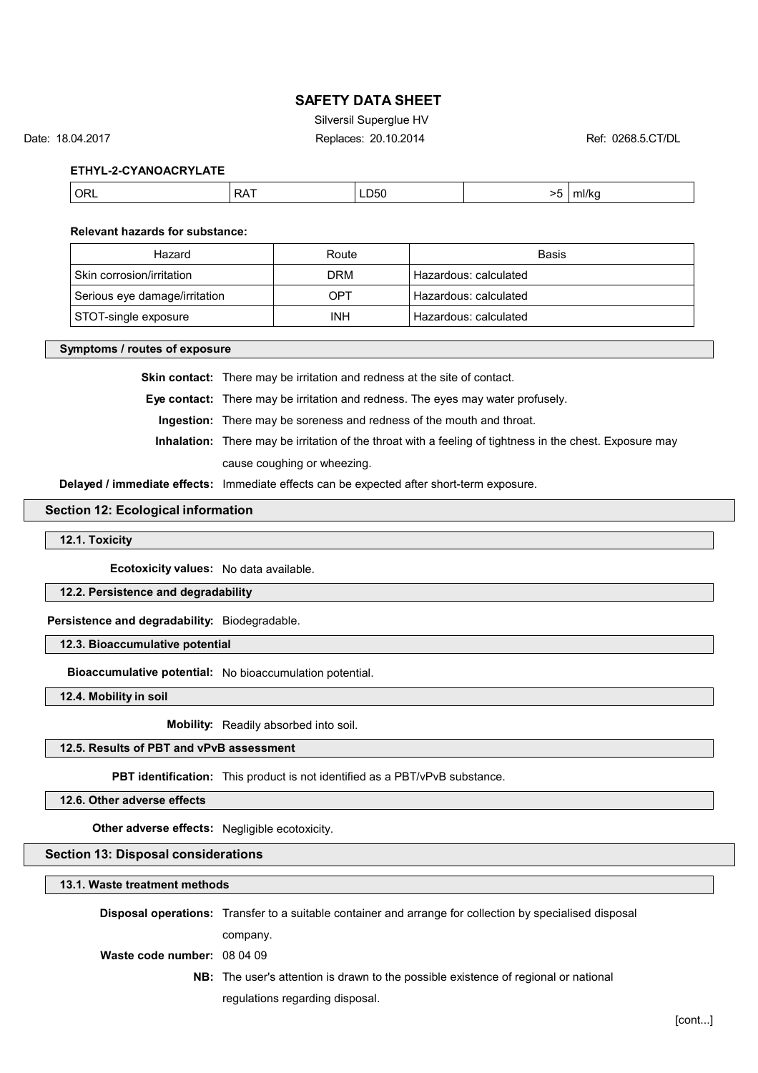Silversil Superglue HV

Date: 18.04.2017 Replaces: 20.10.2014 Ref: 0268.5.CT/DL

**ETHYL-2-CYANOACRYLATE**

|--|

#### **Relevant hazards for substance:**

| Hazard                        | Route      | <b>Basis</b>          |
|-------------------------------|------------|-----------------------|
| Skin corrosion/irritation     | DRM        | Hazardous: calculated |
| Serious eye damage/irritation | OPT        | Hazardous: calculated |
| STOT-single exposure          | <b>INH</b> | Hazardous: calculated |

#### **Symptoms / routes of exposure**

**Skin contact:** There may be irritation and redness at the site of contact.

**Eye contact:** There may be irritation and redness. The eyes may water profusely.

**Ingestion:** There may be soreness and redness of the mouth and throat.

**Inhalation:** There may be irritation of the throat with a feeling of tightness in the chest. Exposure may cause coughing or wheezing.

**Delayed / immediate effects:** Immediate effects can be expected after short-term exposure.

#### **Section 12: Ecological information**

**12.1. Toxicity**

**Ecotoxicity values:** No data available.

**12.2. Persistence and degradability**

**Persistence and degradability:** Biodegradable.

**12.3. Bioaccumulative potential**

**Bioaccumulative potential:** No bioaccumulation potential.

**12.4. Mobility in soil**

**Mobility:** Readily absorbed into soil.

**12.5. Results of PBT and vPvB assessment**

**PBT identification:** This product is not identified as a PBT/vPvB substance.

**12.6. Other adverse effects**

**Other adverse effects:** Negligible ecotoxicity.

#### **Section 13: Disposal considerations**

**13.1. Waste treatment methods**

|                             | <b>Disposal operations:</b> Transfer to a suitable container and arrange for collection by specialised disposal |
|-----------------------------|-----------------------------------------------------------------------------------------------------------------|
|                             | company.                                                                                                        |
| Waste code number: 08 04 09 |                                                                                                                 |
|                             | <b>NB:</b> The user's attention is drawn to the possible existence of regional or national                      |
|                             | regulations regarding disposal.                                                                                 |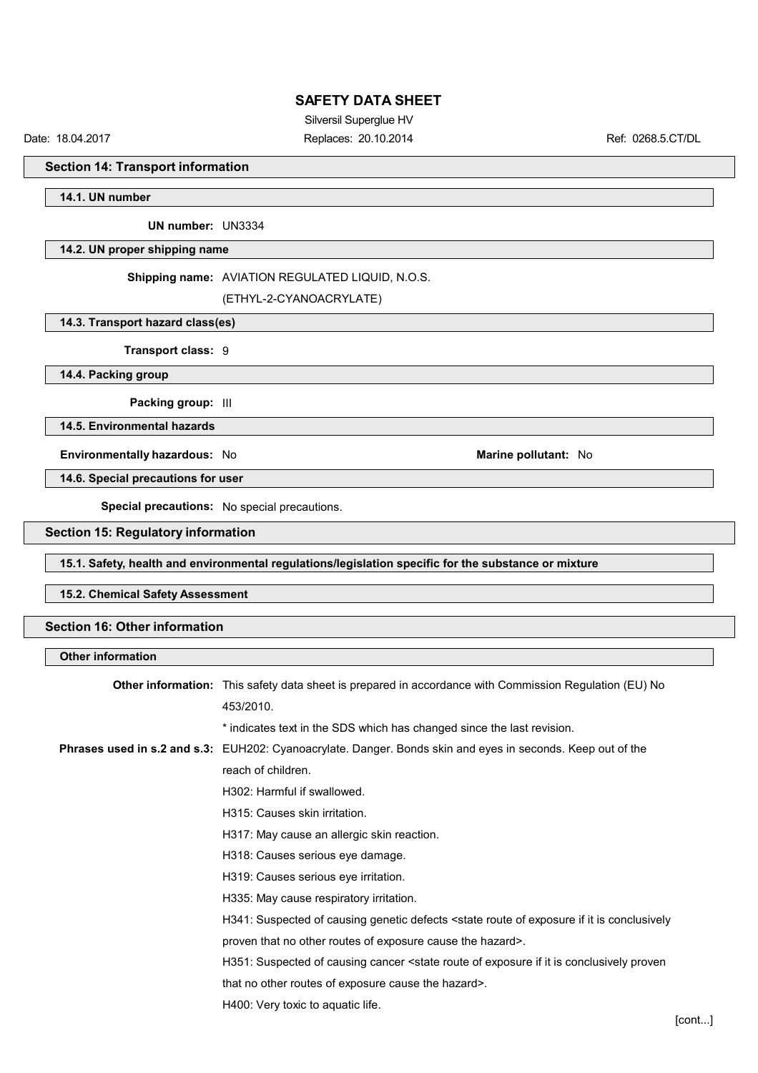Silversil Superglue HV

Date: 18.04.2017 Replaces: 20.10.2014 Ref: 0268.5.CT/DL

**Section 14: Transport information**

**14.1. UN number**

**UN number:** UN3334

**14.2. UN proper shipping name**

### **Shipping name:** AVIATION REGULATED LIQUID, N.O.S.

(ETHYL-2-CYANOACRYLATE)

## **14.3. Transport hazard class(es)**

**Transport class:** 9

**14.4. Packing group**

**Packing group:** III

**14.5. Environmental hazards**

**Environmentally hazardous:** No **Marine pollutant:** No

**14.6. Special precautions for user**

**Special precautions:** No special precautions.

## **Section 15: Regulatory information**

**15.1. Safety, health and environmental regulations/legislation specific for the substance or mixture**

### **15.2. Chemical Safety Assessment**

### **Section 16: Other information**

| <b>Other information</b> |                                                                                                                                 |
|--------------------------|---------------------------------------------------------------------------------------------------------------------------------|
|                          | <b>Other information:</b> This safety data sheet is prepared in accordance with Commission Regulation (EU) No                   |
|                          | 453/2010.                                                                                                                       |
|                          | * indicates text in the SDS which has changed since the last revision.                                                          |
|                          | Phrases used in s.2 and s.3: EUH202: Cyanoacrylate. Danger. Bonds skin and eyes in seconds. Keep out of the                     |
|                          | reach of children.                                                                                                              |
|                          | H302: Harmful if swallowed.                                                                                                     |
|                          | H315: Causes skin irritation.                                                                                                   |
|                          | H317: May cause an allergic skin reaction.                                                                                      |
|                          | H318: Causes serious eye damage.                                                                                                |
|                          | H319: Causes serious eye irritation.                                                                                            |
|                          | H335: May cause respiratory irritation.                                                                                         |
|                          | H341: Suspected of causing genetic defects <state conclusively<="" exposure="" if="" is="" it="" of="" route="" th=""></state>  |
|                          | proven that no other routes of exposure cause the hazard>.                                                                      |
|                          | H351: Suspected of causing cancer <state conclusively="" exposure="" if="" is="" it="" of="" proven<="" route="" th=""></state> |
|                          | that no other routes of exposure cause the hazard>.                                                                             |
|                          | H400: Very toxic to aquatic life.                                                                                               |